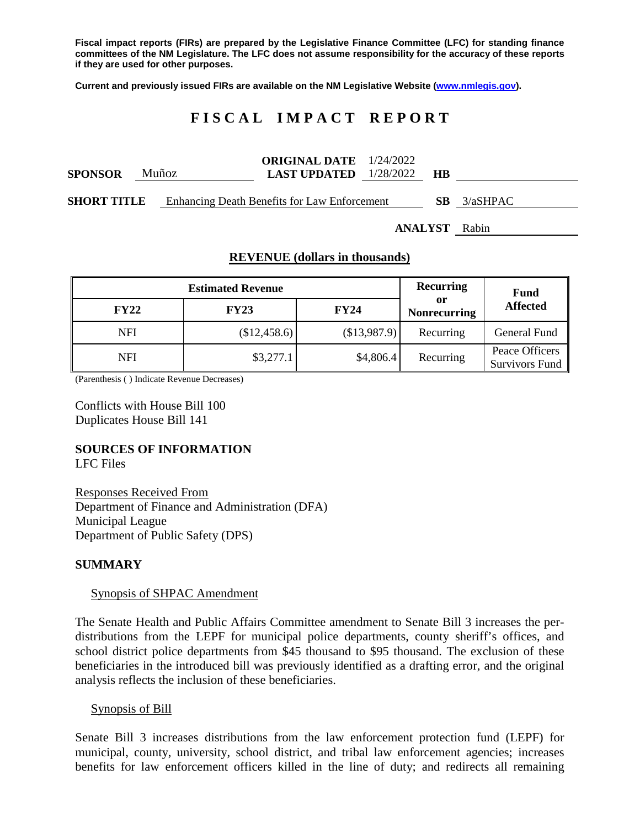**Fiscal impact reports (FIRs) are prepared by the Legislative Finance Committee (LFC) for standing finance committees of the NM Legislature. The LFC does not assume responsibility for the accuracy of these reports if they are used for other purposes.**

**Current and previously issued FIRs are available on the NM Legislative Website [\(www.nmlegis.gov\)](http://www.nmlegis.gov/).**

# **F I S C A L I M P A C T R E P O R T**

| <b>SPONSOR</b>     | Muñoz | <b>ORIGINAL DATE</b> $1/24/2022$<br><b>LAST UPDATED</b> $1/28/2022$ | НB  |             |
|--------------------|-------|---------------------------------------------------------------------|-----|-------------|
| <b>SHORT TITLE</b> |       | Enhancing Death Benefits for Law Enforcement                        | SB. | $3/a$ SHPAC |

**ANALYST** Rabin

#### **REVENUE (dollars in thousands)**

|             | Recurring   | <b>Fund</b>               |                 |                                  |  |
|-------------|-------------|---------------------------|-----------------|----------------------------------|--|
| <b>FY22</b> | <b>FY23</b> | or<br><b>Nonrecurring</b> | <b>Affected</b> |                                  |  |
| <b>NFI</b>  | \$12,458.6  | \$13,987.9                | Recurring       | General Fund                     |  |
| <b>NFI</b>  | \$3,277.1   | \$4,806.4                 | Recurring       | Peace Officers<br>Survivors Fund |  |

(Parenthesis ( ) Indicate Revenue Decreases)

Conflicts with House Bill 100 Duplicates House Bill 141

#### **SOURCES OF INFORMATION**

LFC Files

Responses Received From Department of Finance and Administration (DFA) Municipal League Department of Public Safety (DPS)

#### **SUMMARY**

#### Synopsis of SHPAC Amendment

The Senate Health and Public Affairs Committee amendment to Senate Bill 3 increases the perdistributions from the LEPF for municipal police departments, county sheriff's offices, and school district police departments from \$45 thousand to \$95 thousand. The exclusion of these beneficiaries in the introduced bill was previously identified as a drafting error, and the original analysis reflects the inclusion of these beneficiaries.

#### Synopsis of Bill

Senate Bill 3 increases distributions from the law enforcement protection fund (LEPF) for municipal, county, university, school district, and tribal law enforcement agencies; increases benefits for law enforcement officers killed in the line of duty; and redirects all remaining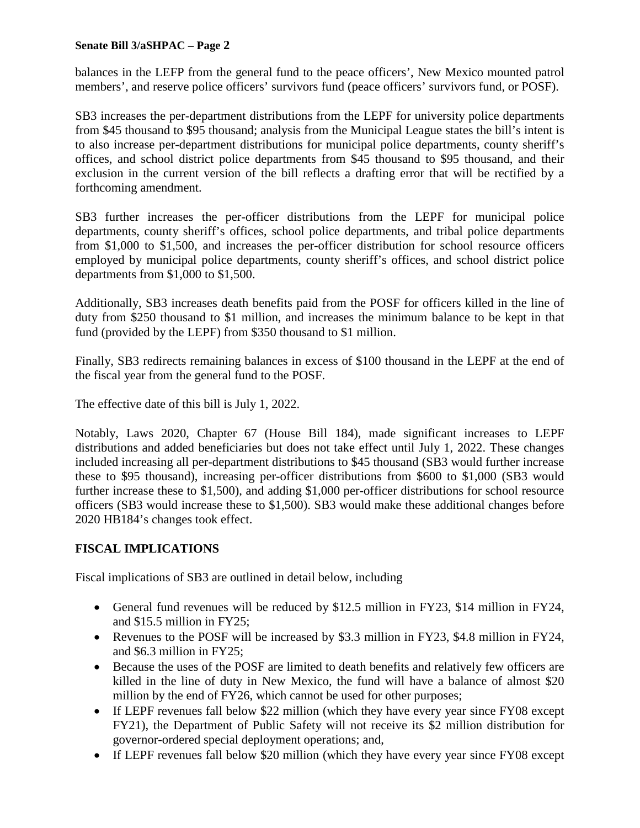balances in the LEFP from the general fund to the peace officers', New Mexico mounted patrol members', and reserve police officers' survivors fund (peace officers' survivors fund, or POSF).

SB3 increases the per-department distributions from the LEPF for university police departments from \$45 thousand to \$95 thousand; analysis from the Municipal League states the bill's intent is to also increase per-department distributions for municipal police departments, county sheriff's offices, and school district police departments from \$45 thousand to \$95 thousand, and their exclusion in the current version of the bill reflects a drafting error that will be rectified by a forthcoming amendment.

SB3 further increases the per-officer distributions from the LEPF for municipal police departments, county sheriff's offices, school police departments, and tribal police departments from \$1,000 to \$1,500, and increases the per-officer distribution for school resource officers employed by municipal police departments, county sheriff's offices, and school district police departments from \$1,000 to \$1,500.

Additionally, SB3 increases death benefits paid from the POSF for officers killed in the line of duty from \$250 thousand to \$1 million, and increases the minimum balance to be kept in that fund (provided by the LEPF) from \$350 thousand to \$1 million.

Finally, SB3 redirects remaining balances in excess of \$100 thousand in the LEPF at the end of the fiscal year from the general fund to the POSF.

The effective date of this bill is July 1, 2022.

Notably, Laws 2020, Chapter 67 (House Bill 184), made significant increases to LEPF distributions and added beneficiaries but does not take effect until July 1, 2022. These changes included increasing all per-department distributions to \$45 thousand (SB3 would further increase these to \$95 thousand), increasing per-officer distributions from \$600 to \$1,000 (SB3 would further increase these to \$1,500), and adding \$1,000 per-officer distributions for school resource officers (SB3 would increase these to \$1,500). SB3 would make these additional changes before 2020 HB184's changes took effect.

## **FISCAL IMPLICATIONS**

Fiscal implications of SB3 are outlined in detail below, including

- General fund revenues will be reduced by \$12.5 million in FY23, \$14 million in FY24, and \$15.5 million in FY25;
- Revenues to the POSF will be increased by \$3.3 million in FY23, \$4.8 million in FY24, and \$6.3 million in FY25;
- Because the uses of the POSF are limited to death benefits and relatively few officers are killed in the line of duty in New Mexico, the fund will have a balance of almost \$20 million by the end of FY26, which cannot be used for other purposes;
- If LEPF revenues fall below \$22 million (which they have every year since FY08 except FY21), the Department of Public Safety will not receive its \$2 million distribution for governor-ordered special deployment operations; and,
- If LEPF revenues fall below \$20 million (which they have every year since FY08 except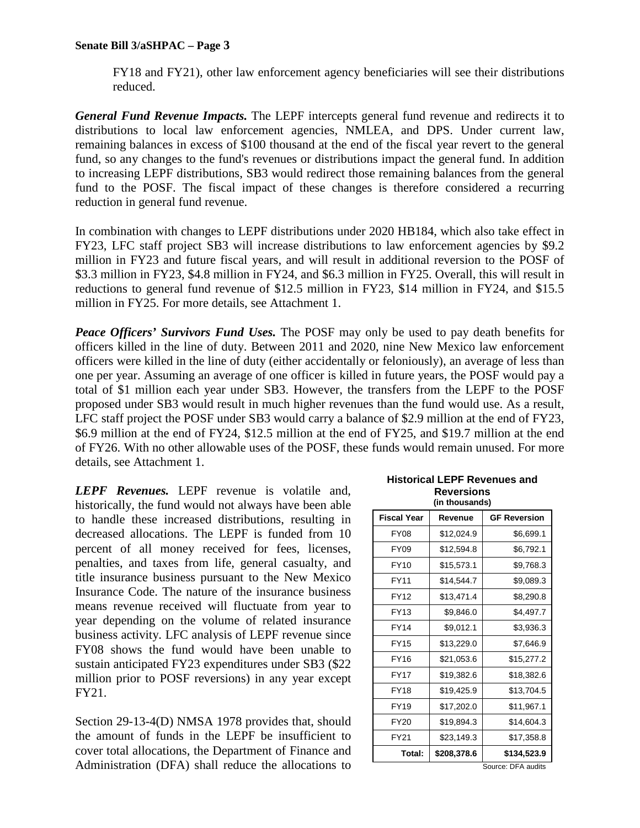FY18 and FY21), other law enforcement agency beneficiaries will see their distributions reduced.

*General Fund Revenue Impacts.* The LEPF intercepts general fund revenue and redirects it to distributions to local law enforcement agencies, NMLEA, and DPS. Under current law, remaining balances in excess of \$100 thousand at the end of the fiscal year revert to the general fund, so any changes to the fund's revenues or distributions impact the general fund. In addition to increasing LEPF distributions, SB3 would redirect those remaining balances from the general fund to the POSF. The fiscal impact of these changes is therefore considered a recurring reduction in general fund revenue.

In combination with changes to LEPF distributions under 2020 HB184, which also take effect in FY23, LFC staff project SB3 will increase distributions to law enforcement agencies by \$9.2 million in FY23 and future fiscal years, and will result in additional reversion to the POSF of \$3.3 million in FY23, \$4.8 million in FY24, and \$6.3 million in FY25. Overall, this will result in reductions to general fund revenue of \$12.5 million in FY23, \$14 million in FY24, and \$15.5 million in FY25. For more details, see Attachment 1.

*Peace Officers' Survivors Fund Uses.* The POSF may only be used to pay death benefits for officers killed in the line of duty. Between 2011 and 2020, nine New Mexico law enforcement officers were killed in the line of duty (either accidentally or feloniously), an average of less than one per year. Assuming an average of one officer is killed in future years, the POSF would pay a total of \$1 million each year under SB3. However, the transfers from the LEPF to the POSF proposed under SB3 would result in much higher revenues than the fund would use. As a result, LFC staff project the POSF under SB3 would carry a balance of \$2.9 million at the end of FY23, \$6.9 million at the end of FY24, \$12.5 million at the end of FY25, and \$19.7 million at the end of FY26. With no other allowable uses of the POSF, these funds would remain unused. For more details, see Attachment 1.

*LEPF Revenues.* LEPF revenue is volatile and, historically, the fund would not always have been able to handle these increased distributions, resulting in decreased allocations. The LEPF is funded from 10 percent of all money received for fees, licenses, penalties, and taxes from life, general casualty, and title insurance business pursuant to the New Mexico Insurance Code. The nature of the insurance business means revenue received will fluctuate from year to year depending on the volume of related insurance business activity. LFC analysis of LEPF revenue since FY08 shows the fund would have been unable to sustain anticipated FY23 expenditures under SB3 (\$22 million prior to POSF reversions) in any year except FY21.

Section 29-13-4(D) NMSA 1978 provides that, should the amount of funds in the LEPF be insufficient to cover total allocations, the Department of Finance and Administration (DFA) shall reduce the allocations to

**Historical LEPF Revenues and Reversions (in thousands)**

| <b>Fiscal Year</b> | Revenue     | <b>GF Reversion</b> |  |  |  |  |  |  |
|--------------------|-------------|---------------------|--|--|--|--|--|--|
| <b>FY08</b>        | \$12,024.9  | \$6,699.1           |  |  |  |  |  |  |
| FY09               | \$12,594.8  | \$6,792.1           |  |  |  |  |  |  |
| FY10               | \$15,573.1  | \$9,768.3           |  |  |  |  |  |  |
| FY11               | \$14,544.7  | \$9,089.3           |  |  |  |  |  |  |
| <b>FY12</b>        | \$13,471.4  | \$8,290.8           |  |  |  |  |  |  |
| FY13               | \$9,846.0   | \$4,497.7           |  |  |  |  |  |  |
| FY14               | \$9,012.1   | \$3,936.3           |  |  |  |  |  |  |
| FY15               | \$13,229.0  | \$7,646.9           |  |  |  |  |  |  |
| FY16               | \$21,053.6  | \$15,277.2          |  |  |  |  |  |  |
| FY17               | \$19,382.6  | \$18,382.6          |  |  |  |  |  |  |
| FY18               | \$19,425.9  | \$13,704.5          |  |  |  |  |  |  |
| FY19               | \$17,202.0  | \$11,967.1          |  |  |  |  |  |  |
| FY20               | \$19,894.3  | \$14,604.3          |  |  |  |  |  |  |
| FY21               | \$23,149.3  | \$17,358.8          |  |  |  |  |  |  |
| Total:             | \$208,378.6 | \$134,523.9         |  |  |  |  |  |  |

Source: DFA audits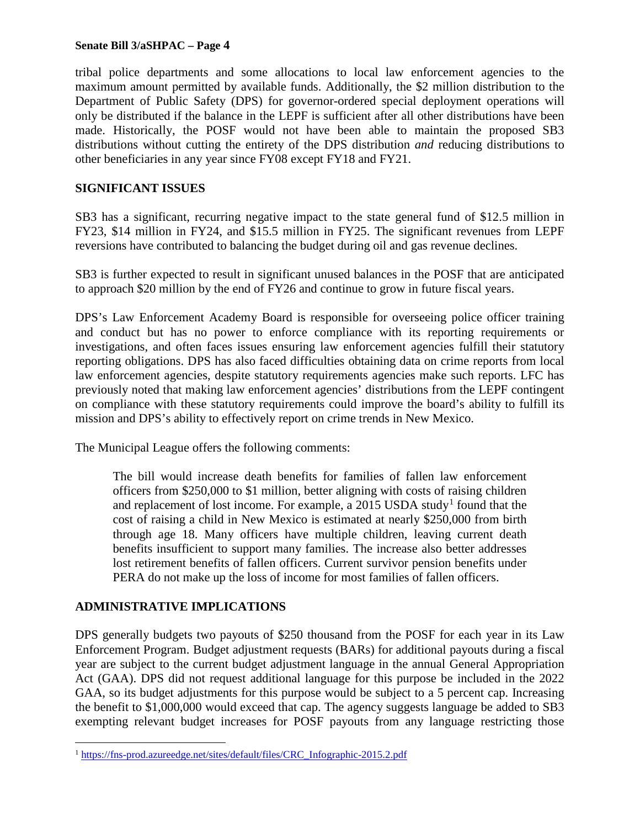tribal police departments and some allocations to local law enforcement agencies to the maximum amount permitted by available funds. Additionally, the \$2 million distribution to the Department of Public Safety (DPS) for governor-ordered special deployment operations will only be distributed if the balance in the LEPF is sufficient after all other distributions have been made. Historically, the POSF would not have been able to maintain the proposed SB3 distributions without cutting the entirety of the DPS distribution *and* reducing distributions to other beneficiaries in any year since FY08 except FY18 and FY21.

## **SIGNIFICANT ISSUES**

SB3 has a significant, recurring negative impact to the state general fund of \$12.5 million in FY23, \$14 million in FY24, and \$15.5 million in FY25. The significant revenues from LEPF reversions have contributed to balancing the budget during oil and gas revenue declines.

SB3 is further expected to result in significant unused balances in the POSF that are anticipated to approach \$20 million by the end of FY26 and continue to grow in future fiscal years.

DPS's Law Enforcement Academy Board is responsible for overseeing police officer training and conduct but has no power to enforce compliance with its reporting requirements or investigations, and often faces issues ensuring law enforcement agencies fulfill their statutory reporting obligations. DPS has also faced difficulties obtaining data on crime reports from local law enforcement agencies, despite statutory requirements agencies make such reports. LFC has previously noted that making law enforcement agencies' distributions from the LEPF contingent on compliance with these statutory requirements could improve the board's ability to fulfill its mission and DPS's ability to effectively report on crime trends in New Mexico.

The Municipal League offers the following comments:

The bill would increase death benefits for families of fallen law enforcement officers from \$250,000 to \$1 million, better aligning with costs of raising children and replacement of lost income. For example, a 20[1](#page-3-0)5 USDA study<sup>1</sup> found that the cost of raising a child in New Mexico is estimated at nearly \$250,000 from birth through age 18. Many officers have multiple children, leaving current death benefits insufficient to support many families. The increase also better addresses lost retirement benefits of fallen officers. Current survivor pension benefits under PERA do not make up the loss of income for most families of fallen officers.

## **ADMINISTRATIVE IMPLICATIONS**

DPS generally budgets two payouts of \$250 thousand from the POSF for each year in its Law Enforcement Program. Budget adjustment requests (BARs) for additional payouts during a fiscal year are subject to the current budget adjustment language in the annual General Appropriation Act (GAA). DPS did not request additional language for this purpose be included in the 2022 GAA, so its budget adjustments for this purpose would be subject to a 5 percent cap. Increasing the benefit to \$1,000,000 would exceed that cap. The agency suggests language be added to SB3 exempting relevant budget increases for POSF payouts from any language restricting those

<span id="page-3-0"></span> <sup>1</sup> [https://fns-prod.azureedge.net/sites/default/files/CRC\\_Infographic-2015.2.pdf](https://fns-prod.azureedge.net/sites/default/files/CRC_Infographic-2015.2.pdf)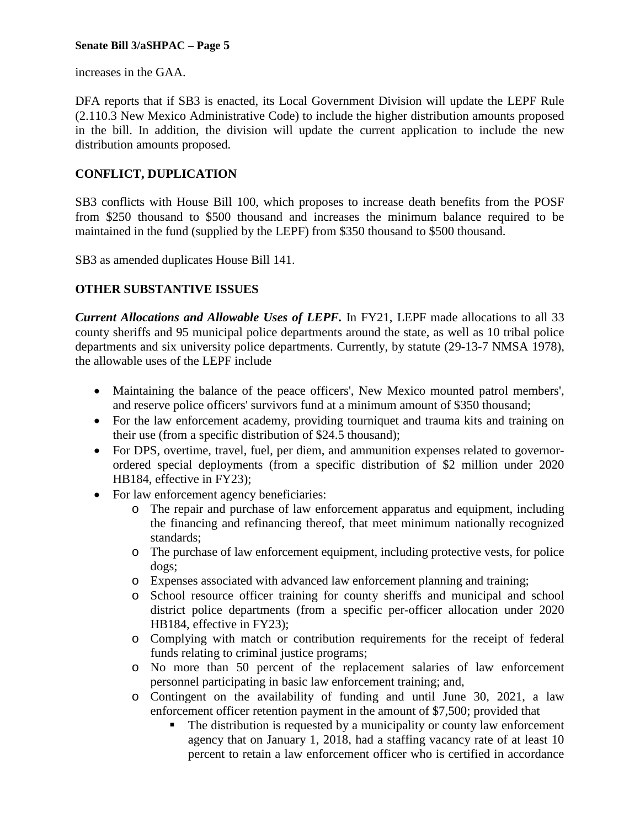increases in the GAA.

DFA reports that if SB3 is enacted, its Local Government Division will update the LEPF Rule (2.110.3 New Mexico Administrative Code) to include the higher distribution amounts proposed in the bill. In addition, the division will update the current application to include the new distribution amounts proposed.

## **CONFLICT, DUPLICATION**

SB3 conflicts with House Bill 100, which proposes to increase death benefits from the POSF from \$250 thousand to \$500 thousand and increases the minimum balance required to be maintained in the fund (supplied by the LEPF) from \$350 thousand to \$500 thousand.

SB3 as amended duplicates House Bill 141.

## **OTHER SUBSTANTIVE ISSUES**

*Current Allocations and Allowable Uses of LEPF.* In FY21, LEPF made allocations to all 33 county sheriffs and 95 municipal police departments around the state, as well as 10 tribal police departments and six university police departments. Currently, by statute (29-13-7 NMSA 1978), the allowable uses of the LEPF include

- Maintaining the balance of the peace officers', New Mexico mounted patrol members', and reserve police officers' survivors fund at a minimum amount of \$350 thousand;
- For the law enforcement academy, providing tourniquet and trauma kits and training on their use (from a specific distribution of \$24.5 thousand);
- For DPS, overtime, travel, fuel, per diem, and ammunition expenses related to governorordered special deployments (from a specific distribution of \$2 million under 2020 HB184, effective in FY23);
- For law enforcement agency beneficiaries:
	- o The repair and purchase of law enforcement apparatus and equipment, including the financing and refinancing thereof, that meet minimum nationally recognized standards;
	- o The purchase of law enforcement equipment, including protective vests, for police dogs;
	- o Expenses associated with advanced law enforcement planning and training;
	- o School resource officer training for county sheriffs and municipal and school district police departments (from a specific per-officer allocation under 2020 HB184, effective in FY23);
	- o Complying with match or contribution requirements for the receipt of federal funds relating to criminal justice programs;
	- o No more than 50 percent of the replacement salaries of law enforcement personnel participating in basic law enforcement training; and,
	- o Contingent on the availability of funding and until June 30, 2021, a law enforcement officer retention payment in the amount of \$7,500; provided that
		- The distribution is requested by a municipality or county law enforcement agency that on January 1, 2018, had a staffing vacancy rate of at least 10 percent to retain a law enforcement officer who is certified in accordance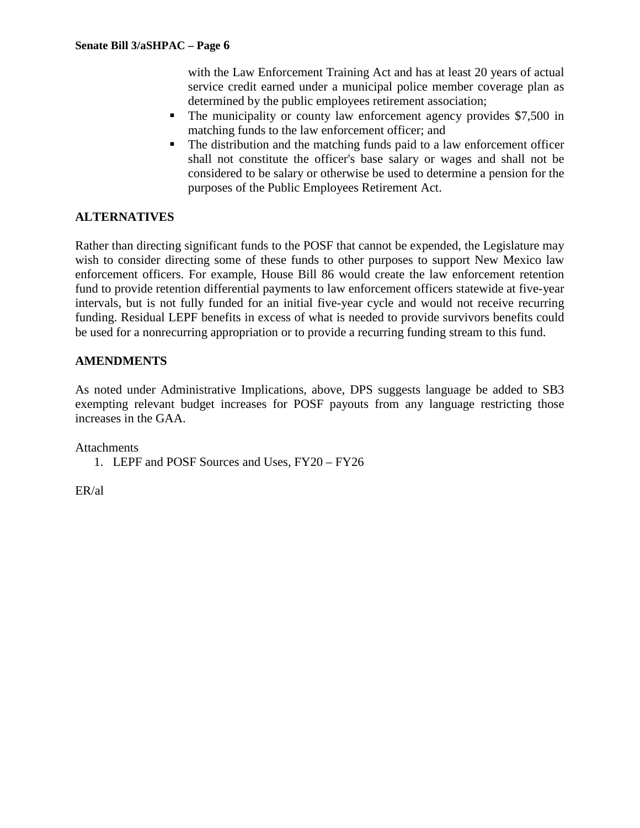with the Law Enforcement Training Act and has at least 20 years of actual service credit earned under a municipal police member coverage plan as determined by the public employees retirement association;

- The municipality or county law enforcement agency provides \$7,500 in matching funds to the law enforcement officer; and
- The distribution and the matching funds paid to a law enforcement officer shall not constitute the officer's base salary or wages and shall not be considered to be salary or otherwise be used to determine a pension for the purposes of the Public Employees Retirement Act.

## **ALTERNATIVES**

Rather than directing significant funds to the POSF that cannot be expended, the Legislature may wish to consider directing some of these funds to other purposes to support New Mexico law enforcement officers. For example, House Bill 86 would create the law enforcement retention fund to provide retention differential payments to law enforcement officers statewide at five-year intervals, but is not fully funded for an initial five-year cycle and would not receive recurring funding. Residual LEPF benefits in excess of what is needed to provide survivors benefits could be used for a nonrecurring appropriation or to provide a recurring funding stream to this fund.

### **AMENDMENTS**

As noted under Administrative Implications, above, DPS suggests language be added to SB3 exempting relevant budget increases for POSF payouts from any language restricting those increases in the GAA.

Attachments

1. LEPF and POSF Sources and Uses, FY20 – FY26

ER/al